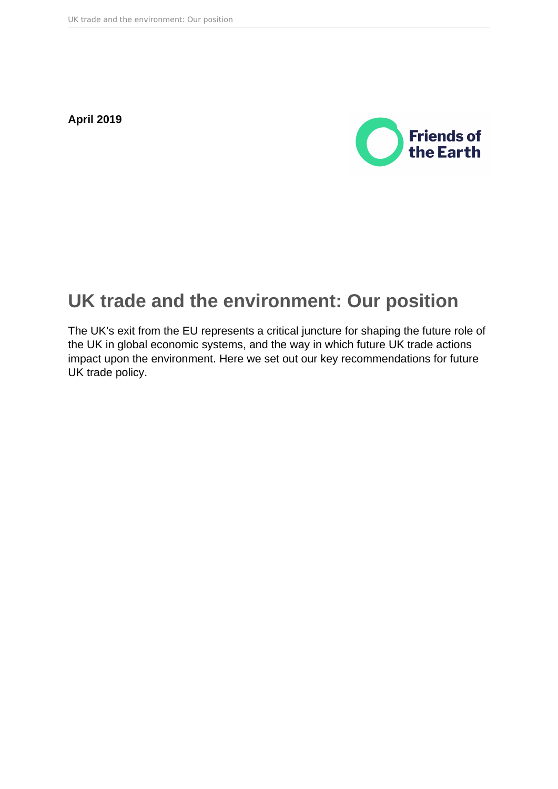**April 2019**



# **UK trade and the environment: Our position**

The UK's exit from the EU represents a critical juncture for shaping the future role of the UK in global economic systems, and the way in which future UK trade actions impact upon the environment. Here we set out our key recommendations for future UK trade policy.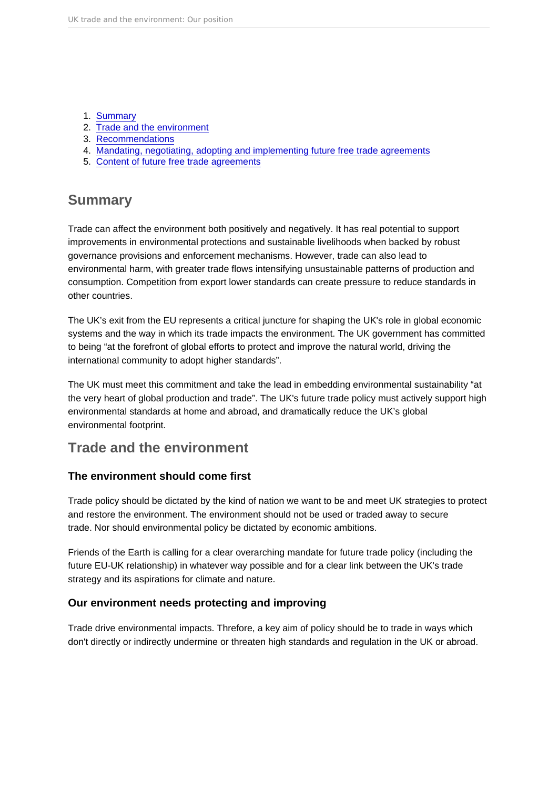#### 1. Summary

- 2. Trade and the environment
- 3. [Recommendations](#page-2-0)
- 4. [Mandating, negotiating, adopting and implementing future free trade agreements](#page-2-0)
- 5. [Content of future free trade agreements](#page-4-0)

# Summary

Trade can affect the environment both positively and negatively. It has real potential to support improvements in environmental protections and sustainable livelihoods when backed by robust governance provisions and enforcement mechanisms. However, trade can also lead to environmental harm, with greater trade flows intensifying unsustainable patterns of production and consumption. Competition from export lower standards can create pressure to reduce standards in other countries.

The UK's exit from the EU represents a critical juncture for shaping the UK's role in global economic systems and the way in which its trade impacts the environment. The UK government has committed to being "at the forefront of global efforts to protect and improve the natural world, driving the international community to adopt higher standards".

The UK must meet this commitment and take the lead in embedding environmental sustainability "at the very heart of global production and trade". The UK's future trade policy must actively support high environmental standards at home and abroad, and dramatically reduce the UK's global environmental footprint.

# Trade and the environment

# The environment should come first

Trade policy should be dictated by the kind of nation we want to be and meet UK strategies to protect and restore the environment. The environment should not be used or traded away to secure trade. Nor should environmental policy be dictated by economic ambitions.

Friends of the Earth is calling for a clear overarching mandate for future trade policy (including the future EU-UK relationship) in whatever way possible and for a clear link between the UK's trade strategy and its aspirations for climate and nature.

# Our environment needs protecting and improving

Trade drive environmental impacts. Threfore, a key aim of policy should be to trade in ways which don't directly or indirectly undermine or threaten high standards and regulation in the UK or abroad.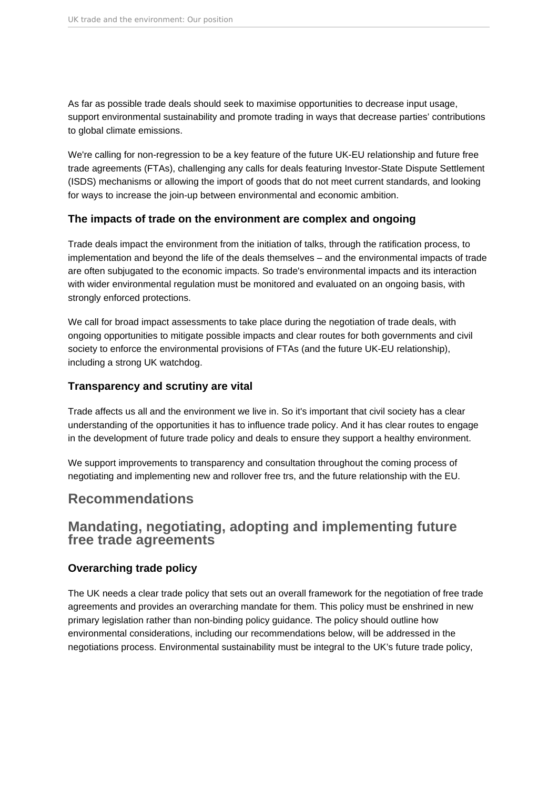<span id="page-2-0"></span>As far as possible trade deals should seek to maximise opportunities to decrease input usage, support environmental sustainability and promote trading in ways that decrease parties' contributions to global climate emissions.

We're calling for non-regression to be a key feature of the future UK-EU relationship and future free trade agreements (FTAs), challenging any calls for deals featuring Investor-State Dispute Settlement (ISDS) mechanisms or allowing the import of goods that do not meet current standards, and looking for ways to increase the join-up between environmental and economic ambition.

# **The impacts of trade on the environment are complex and ongoing**

Trade deals impact the environment from the initiation of talks, through the ratification process, to implementation and beyond the life of the deals themselves – and the environmental impacts of trade are often subjugated to the economic impacts. So trade's environmental impacts and its interaction with wider environmental regulation must be monitored and evaluated on an ongoing basis, with strongly enforced protections.

We call for broad impact assessments to take place during the negotiation of trade deals, with ongoing opportunities to mitigate possible impacts and clear routes for both governments and civil society to enforce the environmental provisions of FTAs (and the future UK-EU relationship), including a strong UK watchdog.

# **Transparency and scrutiny are vital**

Trade affects us all and the environment we live in. So it's important that civil society has a clear understanding of the opportunities it has to influence trade policy. And it has clear routes to engage in the development of future trade policy and deals to ensure they support a healthy environment.

We support improvements to transparency and consultation throughout the coming process of negotiating and implementing new and rollover free trs, and the future relationship with the EU.

# **Recommendations**

# **Mandating, negotiating, adopting and implementing future free trade agreements**

# **Overarching trade policy**

The UK needs a clear trade policy that sets out an overall framework for the negotiation of free trade agreements and provides an overarching mandate for them. This policy must be enshrined in new primary legislation rather than non-binding policy guidance. The policy should outline how environmental considerations, including our recommendations below, will be addressed in the negotiations process. Environmental sustainability must be integral to the UK's future trade policy,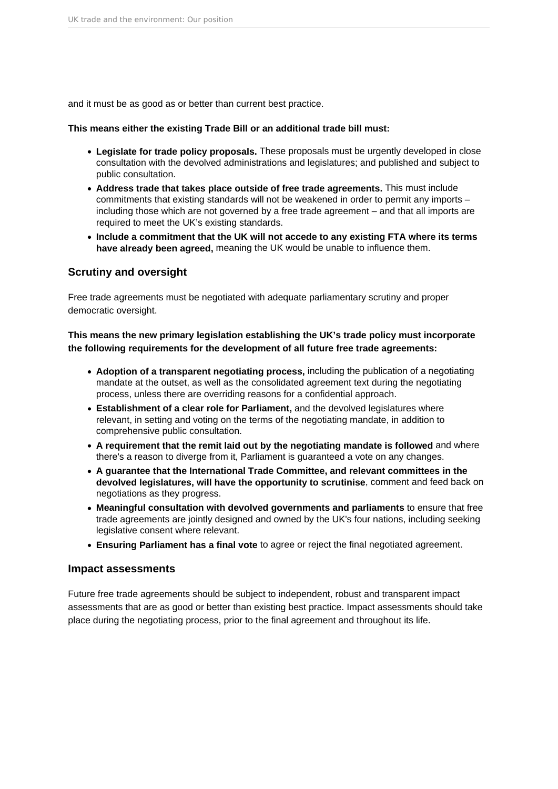and it must be as good as or better than current best practice.

#### **This means either the existing Trade Bill or an additional trade bill must:**

- **Legislate for trade policy proposals.** These proposals must be urgently developed in close consultation with the devolved administrations and legislatures; and published and subject to public consultation.
- **Address trade that takes place outside of free trade agreements.** This must include commitments that existing standards will not be weakened in order to permit any imports – including those which are not governed by a free trade agreement – and that all imports are required to meet the UK's existing standards.
- **Include a commitment that the UK will not accede to any existing FTA where its terms have already been agreed,** meaning the UK would be unable to influence them.

### **Scrutiny and oversight**

Free trade agreements must be negotiated with adequate parliamentary scrutiny and proper democratic oversight.

### **This means the new primary legislation establishing the UK's trade policy must incorporate the following requirements for the development of all future free trade agreements:**

- **Adoption of a transparent negotiating process,** including the publication of a negotiating mandate at the outset, as well as the consolidated agreement text during the negotiating process, unless there are overriding reasons for a confidential approach.
- **Establishment of a clear role for Parliament,** and the devolved legislatures where relevant, in setting and voting on the terms of the negotiating mandate, in addition to comprehensive public consultation.
- **A requirement that the remit laid out by the negotiating mandate is followed** and where there's a reason to diverge from it, Parliament is guaranteed a vote on any changes.
- **A guarantee that the International Trade Committee, and relevant committees in the devolved legislatures, will have the opportunity to scrutinise**, comment and feed back on negotiations as they progress.
- **Meaningful consultation with devolved governments and parliaments** to ensure that free trade agreements are jointly designed and owned by the UK's four nations, including seeking legislative consent where relevant.
- **Ensuring Parliament has a final vote** to agree or reject the final negotiated agreement.

#### **Impact assessments**

Future free trade agreements should be subject to independent, robust and transparent impact assessments that are as good or better than existing best practice. Impact assessments should take place during the negotiating process, prior to the final agreement and throughout its life.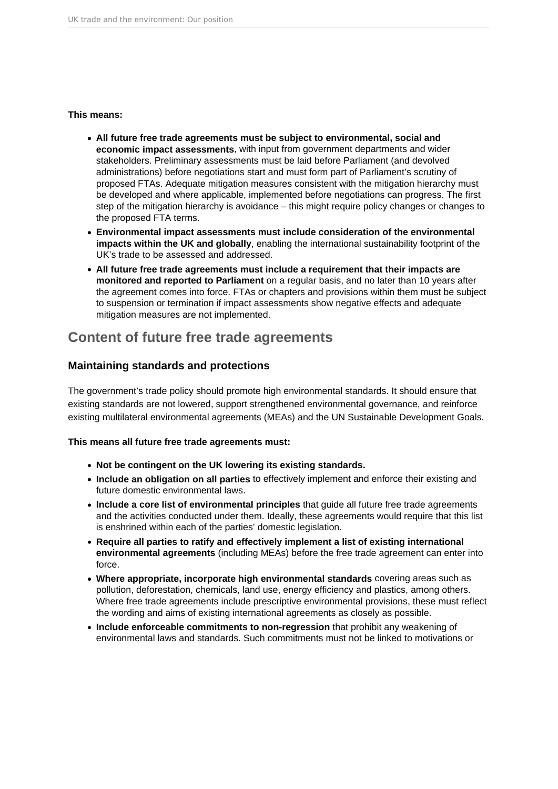#### <span id="page-4-0"></span>**This means:**

- **All future free trade agreements must be subject to environmental, social and economic impact assessments**, with input from government departments and wider stakeholders. Preliminary assessments must be laid before Parliament (and devolved administrations) before negotiations start and must form part of Parliament's scrutiny of proposed FTAs. Adequate mitigation measures consistent with the mitigation hierarchy must be developed and where applicable, implemented before negotiations can progress. The first step of the mitigation hierarchy is avoidance – this might require policy changes or changes to the proposed FTA terms.
- **Environmental impact assessments must include consideration of the environmental impacts within the UK and globally**, enabling the international sustainability footprint of the UK's trade to be assessed and addressed.
- **All future free trade agreements must include a requirement that their impacts are monitored and reported to Parliament** on a regular basis, and no later than 10 years after the agreement comes into force. FTAs or chapters and provisions within them must be subject to suspension or termination if impact assessments show negative effects and adequate mitigation measures are not implemented.

# **Content of future free trade agreements**

# **Maintaining standards and protections**

The government's trade policy should promote high environmental standards. It should ensure that existing standards are not lowered, support strengthened environmental governance, and reinforce existing multilateral environmental agreements (MEAs) and the UN Sustainable Development Goals.

### **This means all future free trade agreements must:**

- **Not be contingent on the UK lowering its existing standards.**
- **Include an obligation on all parties** to effectively implement and enforce their existing and future domestic environmental laws.
- **Include a core list of environmental principles** that guide all future free trade agreements and the activities conducted under them. Ideally, these agreements would require that this list is enshrined within each of the parties' domestic legislation.
- **Require all parties to ratify and effectively implement a list of existing international environmental agreements** (including MEAs) before the free trade agreement can enter into force.
- **Where appropriate, incorporate high environmental standards** covering areas such as pollution, deforestation, chemicals, land use, energy efficiency and plastics, among others. Where free trade agreements include prescriptive environmental provisions, these must reflect the wording and aims of existing international agreements as closely as possible.
- **Include enforceable commitments to non-regression** that prohibit any weakening of environmental laws and standards. Such commitments must not be linked to motivations or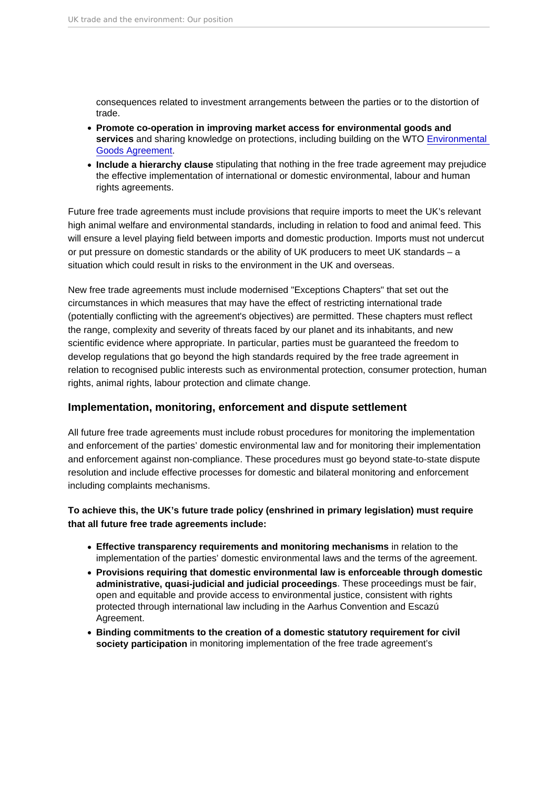consequences related to investment arrangements between the parties or to the distortion of trade.

- Promote co-operation in improving market access for environmental goods and services and sharing knowledge on protections, including building on the WTO [Environmental](https://www.wto.org/english/tratop_e/envir_e/ega_e.htm)  [Goods Agreement.](https://www.wto.org/english/tratop_e/envir_e/ega_e.htm)
- Include a hierarchy clause stipulating that nothing in the free trade agreement may prejudice the effective implementation of international or domestic environmental, labour and human rights agreements.

Future free trade agreements must include provisions that require imports to meet the UK's relevant high animal welfare and environmental standards, including in relation to food and animal feed. This will ensure a level playing field between imports and domestic production. Imports must not undercut or put pressure on domestic standards or the ability of UK producers to meet UK standards – a situation which could result in risks to the environment in the UK and overseas.

New free trade agreements must include modernised "Exceptions Chapters" that set out the circumstances in which measures that may have the effect of restricting international trade (potentially conflicting with the agreement's objectives) are permitted. These chapters must reflect the range, complexity and severity of threats faced by our planet and its inhabitants, and new scientific evidence where appropriate. In particular, parties must be guaranteed the freedom to develop regulations that go beyond the high standards required by the free trade agreement in relation to recognised public interests such as environmental protection, consumer protection, human rights, animal rights, labour protection and climate change.

#### Implementation, monitoring, enforcement and dispute settlement

All future free trade agreements must include robust procedures for monitoring the implementation and enforcement of the parties' domestic environmental law and for monitoring their implementation and enforcement against non-compliance. These procedures must go beyond state-to-state dispute resolution and include effective processes for domestic and bilateral monitoring and enforcement including complaints mechanisms.

To achieve this, the UK's future trade policy (enshrined in primary legislation) must require that all future free trade agreements include:

- Effective transparency requirements and monitoring mechanisms in relation to the implementation of the parties' domestic environmental laws and the terms of the agreement.
- Provisions requiring that domestic environmental law is enforceable through domestic administrative, quasi-judicial and judicial proceedings . These proceedings must be fair, open and equitable and provide access to environmental justice, consistent with rights protected through international law including in the Aarhus Convention and Escazú Agreement.
- Binding commitments to the creation of a domestic statutory requirement for civil society participation in monitoring implementation of the free trade agreement's